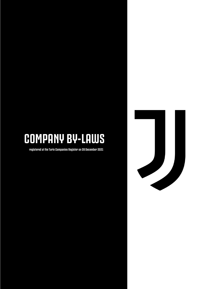# **COMPANY BY-LAWS**

**registered at the Turin Companies Register on 28 December 2021**

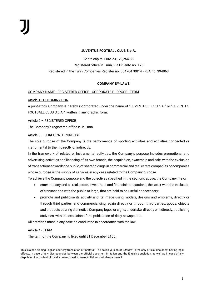#### **JUVENTUS FOOTBALL CLUB S.p.A.**

Share capital Euro 23,379,254.38

Registered office in Turin, Via Druento no. 175

Registered in the Turin Companies Register no. 00470470014 - REA no. 394963

# \_\_\_\_\_\_\_\_\_\_\_\_\_\_\_\_\_\_\_\_\_\_\_\_\_\_\_\_\_\_\_\_\_\_\_\_\_\_\_\_\_\_\_\_\_\_\_\_\_\_\_\_\_\_\_\_ **COMPANY BY-LAWS**

COMPANY NAME - REGISTERED OFFICE - CORPORATE PURPOSE - TERM

Article 1 - DENOMINATION

A joint-stock Company is hereby incorporated under the name of "JUVENTUS F.C. S.p.A." or "JUVENTUS FOOTBALL CLUB S.p.A.", written in any graphic form.

Article 2 – REGISTERED OFFICE

The Company's registered office is in Turin.

#### Article 3 – CORPORATE PURPOSE

The sole purpose of the Company is the performance of sporting activities and activities connected or instrumental to them directly or indirectly.

In the framework of related or instrumental activities, the Company's purpose includes promotional and advertising activities and licensing of its own brands, the acquisition, ownership and sale, with the exclusion of transactions towards the public, of shareholdings in commercial and real estate companies or companies whose purpose is the supply of services in any case related to the Company purpose.

To achieve the Company purpose and the objectives specified in the sections above, the Company may:<sup>[8]</sup>

- enter into any and all real estate, investment and financial transactions, the latter with the exclusion of transactions with the public at large, that are held to be useful or necessary;
- promote and publicise its activity and its image using models, designs and emblems, directly or through third parties, and commercialising, again directly or through third parties, goods, objects and products bearing distinctive Company logos or signs; undertake, directly or indirectly, publishing activities, with the exclusion of the publication of daily newspapers.

All activities must in any case be conducted in accordance with the law.

#### Article 4 - TERM

The term of the Company is fixed until 31 December 2100.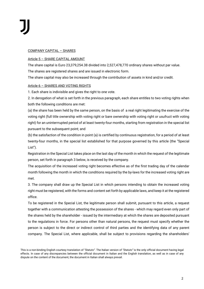#### COMPANY CAPITAL – SHARES

#### Article 5 – SHARE CAPITAL AMOUNT

The share capital is Euro 23,379,254.38 divided into 2,527,478,770 ordinary shares without par value.

The shares are registered shares and are issued in electronic form.

The share capital may also be increased through the contribution of assets in kind and/or credit.

#### Article 6 – SHARES AND VOTING RIGHTS

1. Each share is indivisible and gives the right to one vote.

2. In derogation of what is set forth in the previous paragraph, each share entitles to two voting rights when both the following conditions are met:

(a) the share has been held by the same person, on the basis of a real right legitimating the exercise of the voting right (full title ownership with voting right or bare ownership with voting right or usufruct with voting right) for an uninterrrupted period of at least twenty-four months, starting from registration in the special list pursuant to the subsequent point; and

(b) the satisfaction of the condition in point (a) is certified by continuous registration, for a period of at least twenty-four months, in the special list established for that purpose governed by this article (the "Special List").

Registration in the Special List takes place on the last day of the month in which the request of the legitimate person, set forth in paragraph 3 below, is received by the company.

The acquisition of the increased voting right becomes effective as of the first trading day of the calendar month following the month in which the conditions required by the by-laws for the increased voting right are met.

3. The company shall draw up the Special List in which persons intending to obtain the increased voting right must be registered, with the forms and content set forth by applicable laws, and keep it at the registered office.

To be registered in the Special List, the legitimate person shall submit, pursuant to this article, a request together with a communication attesting the possession of the shares - which may regard even only part of the shares held by the shareholder - issued by the intermediary at which the shares are deposited pursuant to the regulations in force. For persons other than natural persons, the request must specify whether the person is subject to the direct or indirect control of third parties and the identifying data of any parent company. The Special List, where applicable, shall be subject to provisions regarding the shareholders'

This is a non-binding English courtesy translation of *"Statuto"*. The Italian version of *"Statuto"* is the only official document having legal effects. In case of any discrepancies between the official document in Italian and the English translation, as well as in case of any dispute on the content of the document, the document in Italian shall always prevail.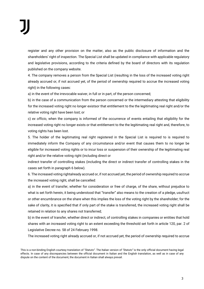register and any other provision on the matter, also as the public disclosure of information and the shareholders' right of inspection. The Special List shall be updated in compliance with applicable regulatory and legislative provisions, according to the criteria defined by the board of directors with its regulation published on the company website.

4. The company removes a person from the Special List (resulting in the loss of the increased voting right already accrued or, if not accrued yet, of the period of ownership required to accrue the increased voting right) in the following cases:

a) in the event of the irrevocable waiver, in full or in part, of the person concerned;

b) in the case of a communication from the person concerned or the intermediary attesting that eligibility for the increased voting right no longer existsor that entitlement to the the legitimating real right and/or the relative voting right have been lost; or

c) *ex officio*, when the company is informed of the occurrence of events entailing that eligibility for the increased voting right no longer exists or that entitlement to the the legitimating real right and, therefore, to voting rights has been lost.

5. The holder of the legitimating real right registered in the Special List is required to is required to immediately inform the Company of any circumstance and/or event that causes them to no longer be eligible for increased voting rights or to incur loss or suspension of their ownership of the legitimating real right and/or the relative voting right (including direct or

indirect transfer of controlling stakes (including the direct or indirect transfer of controlling stakes in the cases set forth in paragraph 6 below).

6. The increased voting rightalready accrued or, if not accrued yet, the period of ownership required to accrue the increased voting right, shall be cancelled:

a) in the event of transfer, whether for consideration or free of charge, of the share, without prejudice to what is set forth herein, it being understood that "transfer" also means to the creation of a pledge, usufruct or other encumbrance on the share when this implies the loss of the voting right by the shareholder; for the sake of clarity, it is specified that if only part of the stake is transferred, the increased voting right shall be retained in relation to any shares not transferred;

b) in the event of transfer, whether direct or indirect, of controlling stakes in companies or entities that hold shares with an increased voting right to an extent exceeding the threshold set forth in article 120, par. 2 of Legislative Decree no. 58 of 24 February 1998.

The increased voting right already accrued or, if not accrued yet, the period of ownership required to accrue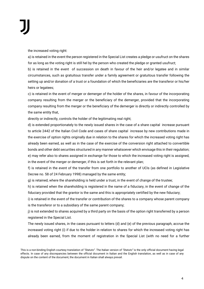the increased voting right:

a) is retained in the event the person registered in the Special List creates a pledge or usufruct on the shares for as long as the voting right is still hel by the person who created the pledge or granted usufruct;

b) is retained in the event of succession on death in favour of the heir and/or legatee and in similar circumstances, such as gratuitous transfer under a family agreement or gratuitous transfer following the setting up and/or donation of a trust or a foundation of which the beneficiaries are the transferor or his/her heirs or legatees;

c) is retained in the event of merger or demerger of the holder of the shares, in favour of the incorporating company resulting from the merger or the beneficiary of the demerger, provided that the incorporating company resulting from the merger or the beneficiary of the demerger is directly or indirectly controlled by the same entity that,

directly or indirectly, controls the holder of the legitimating real right;

d) is extended proportionately to the newly issued shares in the case of a share capital increase pursuant to article 2442 of the Italian Civil Code and cases of share capital increase by new contributions made in the exercise of option rights originally due in relation to the shares for which the increased voting right has already been earned, as well as in the case of the exercise of the conversion right attached to convertible bonds and other debt securities structured in any manner whatsoever which envisage this in their regulation; e) may refer also to shares assigned in exchange for those to which the increased voting right is assigned, in the event of the merger or demerger, if this is set forth in the relevant plan;

f) is retained in the event of the transfer from one portfolio to another of UCIs (as defined in Legislative Decree no. 58 of 24 February 1998) managed by the same entity;

g) is retained, where the shareholding is held under a trust, in the event of change of the trustee;

h) is retained when the shareholding is registered in the name of a fiduciary, in the event of change of the fiduciary provided that the grantor is the same and this is appropriately certified by the new fiduciary;

i) is retained in the event of the transfer or contribution of the shares to a company whose parent company is the transferor or to a subsidiary of the same parent company;

j) is not extended to shares acquired by a third party on the basis of the option right transferred by a person registered in the Special List.

The newly issued shares, in the cases pursuant to letters (d) and (e) of the previous paragraph, accrue the increased voting right (i) if due to the holder in relation to shares for which the increased voting right has already been earned, from the moment of registration in the Special List (with no need for a further

This is a non-binding English courtesy translation of *"Statuto"*. The Italian version of *"Statuto"* is the only official document having legal effects. In case of any discrepancies between the official document in Italian and the English translation, as well as in case of any dispute on the content of the document, the document in Italian shall always prevail.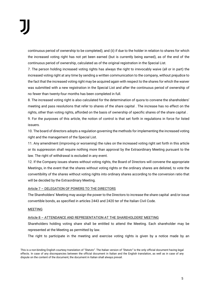continuous period of ownership to be completed); and (ii) if due to the holder in relation to shares for which the increased voting right has not yet been earned (but is currently being earned), as of the end of the continuous period of ownership, calculated as of the original registration in the Special List.

7. The person holding increased voting rights has always the right to irrevocably waive (all or in part) the increased voting right at any time by sending a written communication to the company, without prejudice to the fact that the increased voting right may be acquired again with respect to the shares for which the waiver was submitted with a new registration in the Special List and after the continuous period of ownership of no fewer than twenty-four months has been completed in full.

8. The increased voting right is also calculated for the determination of quora to convene the shareholders' meeting and pass resolutions that refer to shares of the share capital . The increase has no effect on the rights, other than voting rights, afforded on the basis of ownership of specific shares of the share capital .

9. For the purposes of this article, the notion of control is that set forth in regulations in force for listed issuers.

10. The board of directors adopts a regulation governing the methods for implementing the increased voting right and the management of the Special List.

11. Any amendment (improving or worsening) the rules on the increased voting right set forth in this article or its suppression shall require nothing more than approval by the Extraordinary Meeting pursuant to the law. The right of withdrawal is excluded in any event.

12. If the Company issues shares without voting rights, the Board of Directors will convene the appropriate Meetings, in the event that the shares without voting rights or the ordinary shares are delisted, to vote the convertibility of the shares without voting rights into ordinary shares according to the conversion ratio that will be decided by the Extraordinary Meeting.

# Article 7 – DELEGATION OF POWERS TO THE DIRECTORS

The Shareholders' Meeting may assign the power to the Directors to increase the share capital and/or issue convertible bonds, as specified in articles 2443 and 2420 ter of the Italian Civil Code.

#### MEETING

#### Article 8 – ATTENDANCE AND REPRESENTATION AT THE SHAREHOLDERS' MEETING

Shareholders holding voting share shall be entitled to attend the Meeting. Each shareholder may be represented at the Meeting as permitted by law.

The right to participate in the meeting and exercise voting rights is given by a notice made by an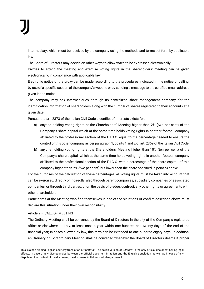intermediary, which must be received by the company using the methods and terms set forth by applicable law.

The Board of Directors may decide on other ways to allow votes to be expressed electronically.

Proxies to attend the meeting and exercise voting rights in the shareholders' meeting can be given electronically, in compliance with applicable law.

Electronic notice of the proxy can be made, according to the procedures indicated in the notice of calling, by use of a specific section of the company's website or by sending a message to the certified email address given in the notice.

The company may ask intermediaries, through its centralized share management company, for the identification information of shareholders along with the number of shares registered to their accounts at a given date.

Pursuant to art. 2373 of the Italian Civil Code a conflict of interests exists for:

- a) anyone holding voting rights at the Shareholders' Meeting higher than 2% (two per cent) of the Company's share capital which at the same time holds voting rights in another football company affiliated to the professional section of the F.I.G.C. equal to the percentage needed to ensure the control of this other company as per paragraph 1, points 1 and 2 of art. 2359 of the Italian Civil Code;
- b) anyone holding voting rights at the Shareholders' Meeting higher than 10% (ten per cent) of the Company's share capital which at the same time holds voting rights in another football company affiliated to the professional section of the F.I.G.C. with a percentage of the share capital of this company higher than 2% (two per cent) but lower than the share specified in point a) above.

For the purposes of the calculation of these percentages, all voting rights must be taken into account that can be exercised, directly or indirectly, also through parent companies, subsidiary companies or associated companies, or through third parties, or on the basis of pledge, usufruct, any other rights or agreements with other shareholders.

Participants at the Meeting who find themselves in one of the situations of conflict described above must declare this situation under their own responsibility.

# Article 9 – CALL OF MEETING

The Ordinary Meeting shall be convened by the Board of Directors in the city of the Company's registered office or elsewhere, in Italy, at least once a year within one hundred and twenty days of the end of the financial year; in cases allowed by law, this term can be extended to one hundred eighty days. In addition, an Ordinary or Extraordinary Meeting shall be convened whenever the Board of Directors deems it proper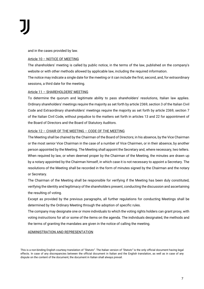and in the cases provided by law.

## Article 10 – NOTICE OF MEETING

The shareholders' meeting is called by public notice, in the terms of the law, published on the company's website or with other methods allowed by applicable law, including the required information. The notice may indicate a single date for the meeting or it can include the first, second, and, for extraordinary sessions, a third date for the meeting.

# Article 11 – SHAREHOLDERS' MEETING

To determine the quorum and legitimate ability to pass shareholders' resolutions, Italian law applies. Ordinary shareholders' meetings require the majority as set forth by article 2369, section 3 of the Italian Civil Code and Extraordinary shareholders' meetings require the majority as set forth by article 2369, section 7 of the Italian Civil Code, without prejudice to the matters set forth in articles 13 and 22 for appointment of the Board of Directors and the Board of Statutory Auditors.

# Article 12 – CHAIR OF THE MEETING – CODE OF THE MEETING

The Meeting shall be chaired by the Chairman of the Board of Directors; in his absence, by the Vice Chairman or the most senior Vice Chairman in the case of a number of Vice Chairmen, or in their absence, by another person appointed by the Meeting. The Meeting shall appoint the Secretary and, where necessary, two tellers. When required by law, or when deemed proper by the Chairman of the Meeting, the minutes are drawn up by a notary appointed by the Chairman himself, in which case it is not necessary to appoint a Secretary. The resolutions of the Meeting shall be recorded in the form of minutes signed by the Chairman and the notary or Secretary.

The Chairman of the Meeting shall be responsible for verifying if the Meeting has been duly constituted, verifying the identity and legitimacy of the shareholders present, conducting the discussion and ascertaining the resulting of voting.

Except as provided by the previous paragraphs, all further regulations for conducting Meetings shall be determined by the Ordinary Meeting through the adoption of specific rules.

The company may designate one or more individuals to which the voting rights holders can grant proxy, with voting instructions for all or some of the items on the agenda. The individuals designated, the methods and the terms of granting the mandates are given in the notice of calling the meeting.

#### ADMINISTRATION AND REPRESENTATION

This is a non-binding English courtesy translation of *"Statuto"*. The Italian version of *"Statuto"* is the only official document having legal effects. In case of any discrepancies between the official document in Italian and the English translation, as well as in case of any dispute on the content of the document, the document in Italian shall always prevail.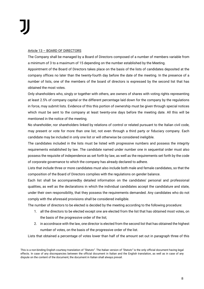#### Article 13 – BOARD OF DIRECTORS

The Company shall be managed by a Board of Directors composed of a number of members variable from a minimum of 3 to a maximum of 15 depending on the number established by the Meeting.

Appointment of the Board of Directors takes place on the basis of the lists of candidates deposited at the company offices no later than the twenty-fourth day before the date of the meeting. In the presence of a number of lists, one of the members of the board of directors is expressed by the second list that has obtained the most votes.

Only shareholders who, singly or together with others, are owners of shares with voting rights representing at least 2.5% of company capital or the different percentage laid down for the company by the regulations in force, may submit lists. Evidence of this this portion of ownership must be given through special notices which must be sent to the company at least twenty-one days before the meeting date. All this will be mentioned in the notice of the meeting.

No shareholder, nor shareholders linked by relations of control or related pursuant to the Italian civil code, may present or vote for more than one list, not even through a third party or fiduciary company. Each candidate may be included in only one list or will otherwise be considered ineligible.

The candidates included in the lists must be listed with progressive numbers and possess the integrity requirements established by law. The candidate named under number one in sequential order must also possess the requisite of independence as set forth by law, as well as the requirements set forth by the code of corporate governance to which the company has already declared to adhere.

Lists that include three or more candidates must also include both male and female candidates, so that the composition of the Board of Directors complies with the regulations on gender balance.

Each list shall be accompaniedby detailed information on the candidates' personal and professional qualities, as well as the declarations in which the individual candidates accept the candidature and state, under their own responsibility, that they possess the requirements demanded. Any candidates who do not comply with the aforesaid provisions shall be considered ineligible.

The number of directors to be elected is decided by the meeting according to the following procedure:

- 1. all the directors to be elected except one are elected from the list that has obtained most votes, on the basis of the progressive order of the list;
- 2. in accordnace with the law, one director is elected from the second list that has obtained the highest number of votes, on the basis of the progressive order of the list.

Lists that obtained a percentage of votes lower than half of the amount set out in paragraph three of this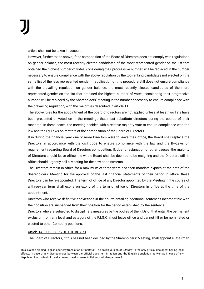article shall not be taken in account.

However, further to the above, if the composition of the Board of Directors does not comply with regulations on gender balance, the most recently elected candidates of the most represented gender on the list that obtained the highest number of votes, considering their progressive number, will be replaced in the number necessary to ensure compliance with the above regulation by the top ranking candidates not elected on the same list of the less represented gender. If application of this procedure still does not ensure compliance with the prevailing regulation on gender balance, the most recently elected candidates of the more represented gender on the list that obtained the highest number of votes, considering their progressive number, will be replaced by the Shareholders' Meeting in the number necessary to ensure compliance with the prevailing regulation, with the majorities described in article 11.

The above rules for the appointment of the board of directors are not applied unless at least two lists have been presented or voted on in the meetings that must substitute directors during the course of their mandate. In these cases, the meeting decides with a relative majority vote to ensure compliance with the law and the By-Laws on matters of the composition of the Board of Directors.

If in during the financial year one or more Directors were to leave their office, the Board shall replace the Directors in accordance with the civil code to ensure compliance with the law and the By-Laws on requirement regarding Board of Directors composition. If, due to resignation or other causes, the majority of Directors should leave office, the whole Board shall be deemed to be resigning and the Directors still in office should urgently call a Meeting for the new appointments.

The Directors remain in office for a maximum of three years and their mandate expires at the date of the Shareholders' Meeting for the approval of the last financial statements of their period in office; these Directors can be re-appointed. The term of office of any Director appointed by the Meeting in the course of a three-year term shall expire on expiry of the term of office of Directors in office at the time of the appointment.

Directors who receive definitive convictions in the courts entailing additional sentences incompatible with their position are suspended from their position for the period established by the sentence.

Directors who are subjected to disciplinary measures by the bodies of the F.I.G.C. that entail the permanent exclusion from any level and category of the F.I.G.C. must leave office and cannot fill or be nominated or elected to other Company positions.

#### Article 14 – OFFICERS OF THE BOARD

The Board of Directors, if this has not been decided by the Shareholders' Meeting, shall appoint a Chairman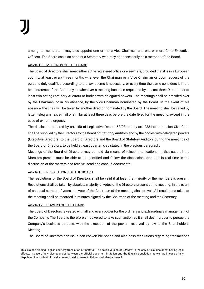among its members. It may also appoint one or more Vice Chairmen and one or more Chief Executive Officers. The Board can also appoint a Secretary who may not necessarily be a member of the Board.

# Article 15 – MEETINGS OF THE BOARD

The Board of Directors shall meet either at the registered office or elsewhere, provided that it is in a European country, at least every three months whenever the Chairman or a Vice Chairman or upon request of the persons duly qualified according to the law deems it necessary, or every time the same considers it in the best interests of the Company, or whenever a meeting has been requested by at least three Directors or at least two acting Statutory Auditors or bodies with delegated powers. The meetings shall be presided over by the Chairman, or in his absence, by the Vice Chairman nominated by the Board. In the event of his absence, the chair will be taken by another director nominated by the Board. The meeting shall be called by letter, telegram, fax, e-mail or similar at least three days before the date fixed for the meeting, except in the case of extreme urgency.

The disclosure required by art. 150 of Legislative Decree 58/98 and by art. 2381 of the Italian Civil Code shall be supplied by the Directors to the Board of Statutory Auditors and by the bodies with delegated powers (Executive Directors) to the Board of Directors and the Board of Statutory Auditors during the meetings of the Board of Directors, to be held at least quarterly, as stated in the previous paragraph.

Meetings of the Board of Directors may be held via means of telecommunications. In that case all the Directors present must be able to be identified and follow the discussion, take part in real time in the discussion of the matters and receive, send and consult documents.

# Article 16 – RESOLUTIONS OF THE BOARD

The resolutions of the Board of Directors shall be valid if at least the majority of the members is present. Resolutions shall be taken by absolute majority of votes of the Directors present at the meeting. In the event of an equal number of votes, the vote of the Chairman of the meeting shall prevail. All resolutions taken at the meeting shall be recorded in minutes signed by the Chairman of the meeting and the Secretary.

#### Article 17 – POWERS OF THE BOARD

The Board of Directors is vested with all and every power for the ordinary and extraordinary management of the Company. The Board is therefore empowered to take such action as it shall deem proper to pursue the Company's business purpose, with the exception of the powers reserved by law to the Shareholders' Meeting.

The Board of Directors can issue non-convertible bonds and also pass resolutions regarding transactions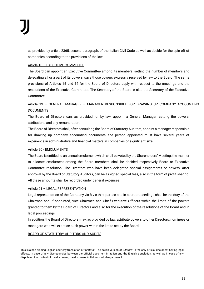as provided by article 2365, second paragraph, of the Italian Civil Code as well as decide for the spin-off of companies according to the provisions of the law.

# Article 18 – EXECUTIVE COMMITTEE

The Board can appoint an Executive Committee among its members, setting the number of members and delegating all or a part of its powers, save those powers expressly reserved by law to the Board. The same provisions of Articles 15 and 16 for the Board of Directors apply with respect to the meetings and the resolutions of the Executive Committee. The Secretary of the Board is also the Secretary of the Executive Committee.

# Article 19 – GENERAL MANAGER – MANAGER RESPONSIBLE FOR DRAWING UP COMPANY ACCOUNTING **DOCUMENTS**

The Board of Directors can, as provided for by law, appoint a General Manager, setting the powers, attributions and any remuneration.

The Board of Directors shall, after consulting the Board of Statutory Auditors, appoint a manager responsible for drawing up company accounting documents; the person appointed must have several years of experience in administrative and financial matters in companies of significant size.

# Article 20 - EMOLUMENTS

The Board is entitled to an annual emolument which shall be voted by the Shareholders' Meeting; the manner to allocate emolument among the Board members shall be decided respectively Board or Executive Committee resolution. The Directors who have been delegated special assignments or powers, after approval by the Board of Statutory Auditors, can be assigned special fees, also in the form of profit sharing. All these amounts shall be recorded under general expenses.

# Article 21 – LEGAL REPRESENTATION

Legal representation of the Company vis-à-vis third parties and in court proceedings shall be the duty of the Chairman and, if appointed, Vice Chairmen and Chief Executive Officers within the limits of the powers granted to them by the Board of Directors and also for the execution of the resolutions of the Board and in legal proceedings.

In addition, the Board of Directors may, as provided by law, attribute powers to other Directors, nominees or managers who will exercise such power within the limits set by the Board.

# BOARD OF STATUTORY AUDITORS AND AUDITS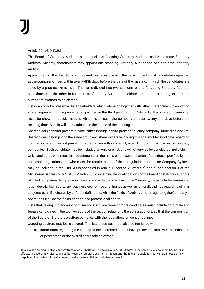#### Article 22 - AUDITORS

The Board of Statutory Auditors shall consist of 3 acting Statutory Auditors and 2 alternate Statutory Auditors. Minority shareholders may appoint one standing Statutory Auditor and one alternate Statutory Auditor.

Appointment of the Board of Statutory Auditors takes place on the basis of the lists of candidates deposited at the company offices within twenty-fifth days before the date of the meeting, in which the candidates are listed by a progressive number. The list is divided into two sections: one is for acting Statutory Auditors candidates and the other is for alternate Statutory Auditors candidates, in a number no higher than the number of auditors to be elected.

Lists can only be presented by shareholders which, alone or together with other shareholders, own voting shares representing the percentage specified in the third paragraph of Article 13; this share of ownership must be shown in special notices which must reach the company at least twenty-one days before the meeting date. All this will be mentioned in the notice of the meeting.

Shareholders cannnot present or vote, either through a third party or fiduciary company, more than one list. Shareholders belonging to the same group and shareholders belonging to a shareholder syndicate regarding company shares may not present or vote for more than one list, even if through third parties or fiduciary companies. Each candidate may be included on only one list, and will otherwise be considered ineligible.

Only candidates who meet the requirements on the limits on the accumulation of positions specified by the applicable regulations and who meet the requirements of these regulations and these Company By-laws may be included in the lists. As is specified in article 1, section 2, letters b) and c) and section 3 of the Ministerial Decree no. 162 of 30 March 2000 concerning the qualifications of the board of statutory auditors of listed companies, for questions closely related to the activities of the Company, these include commercial law, industrial law, sports law, business economics and finance as well as other disciplines regarding similar subjects, even if indicated by different definitions, while the fields of activity strictly regarding the Company's operations include the fields of sport and professional sports.

Lists that, taking into account both sections, include three or more candidates must include both male and female candidates in the top two spots of the section relating to the acting auditors, so that the composition of the Board of Statutory Auditors complies with the regulations on gender balance.

Outgoing auditors may be re-elected. The lists presented must also be furnished with:

a) information regarding the identity of the shareholders that have presented lists, with the indication of percentage of the overall shareholding owned;

This is a non-binding English courtesy translation of *"Statuto"*. The Italian version of *"Statuto"* is the only official document having legal effects. In case of any discrepancies between the official document in Italian and the English translation, as well as in case of any dispute on the content of the document, the document in Italian shall always prevail.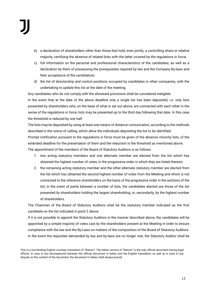- b) a declaration of shareholders other than those that hold, even jointly, a controlling share or relative majority, certifying the absence of related links with the latter covered by the regulations in force;
- c) full information on the personal and professional characteristics of the candidates, as well as a declaration by them of possessing the prerequisites required by law and the Company By-laws and their acceptance of the candidature;
- d) the list of directorship and control positions occupied by candidates in other companies, with the undertaking to update this list at the date of the meeting.

Any candidates who do not comply with the aforesaid provisions shall be considered ineligible.

In the event that at the date of the above deadline only a single list has been deposited, i.e. only lists presented by shareholders who, on the base of what is set out above, are connected with each other in the sense of the regulations in force, lists may be presented up to the third day following that date. In this case the threshold is reduced by one half.

The lists may be deposited by using at least one means of distance comunication, according to the methods described in the notice of calling, which allow the individuals depositing the list to be identified.

Prompt notification pursuant to the regulations in force must be given of the absence minority lists, of the extended deadline for the presentation of them and the reduction in the threshold as mentioned above. The appointment of the members of the Board of Statutory Auditors is as follows:

- 1. two acting statutory members and one alternate member are elected from the list which has obtained the highest number of votes, in the progressive order in which they are listed thereon;
- 2. the remaining acting statutory member and the other alternate statutory member are elected from the list which has obtained the second highest number of votes from the Meeting and which is not connected to the reference shareholders on the basis of the progressive order in the sections of the list; in the event of parity between a number of lists, the candidates elected are those of the list presented by shareholders holding the largest shareholding, or, secondarily, by the highest number of shareholders.

The Chairman of the Board of Statutory Auditors shall be the statutory member indicated as the first candidate on the list indicated in point 2 above.

If it is not possible to appoint the Statutory Auditors in the manner described above, the candidates will be appointed by a simple majority of votes cast by the shareholders present at the Meeting in order to ensure compliance with the law and the By-Laws on matters of the composition of the Board of Statutory Auditors. In the event the requisites demanded by law and by-laws are no longer met, the Statutory Auditor shall be

This is a non-binding English courtesy translation of *"Statuto"*. The Italian version of *"Statuto"* is the only official document having legal effects. In case of any discrepancies between the official document in Italian and the English translation, as well as in case of any dispute on the content of the document, the document in Italian shall always prevail.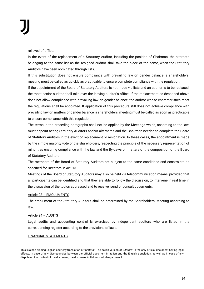relieved of office.

In the event of the replacement of a Statutory Auditor, including the position of Chairman, the alternate belonging to the same list as the resigned auditor shall take the place of the same, when the Statutory Auditors have been nominated through lists.

If this substitution does not ensure compliance with prevailing law on gender balance, a shareholders' meeting must be called as quickly as practicable to ensure complete compliance with the regulation.

If the appointment of the Board of Statutory Auditors is not made via lists and an auditor is to be replaced, the most senior auditor shall take over the leaving auditor's office. If the replacement as described above does not allow compliance with prevailing law on gender balance, the auditor whose characteristics meet the regulations shall be appointed. If application of this procedure still does not achieve compliance with prevailing law on matters of gender balance, a shareholders' meeting must be called as soon as practicable to ensure compliance with this regulation.

The terms in the preceding paragraphs shall not be applied by the Meetings which, according to the law, must appoint acting Statutory Auditors and/or alternates and the Chairman needed to complete the Board of Statutory Auditors in the event of replacement or resignation. In these cases, the appointment is made by the simple majority vote of the shareholders, respecting the principle of the necessary representation of minorities ensuring compliance with the law and the By-Laws on matters of the composition of the Board of Statutory Auditors.

The members of the Board of Statutory Auditors are subject to the same conditions and constraints as specified for Directors in Art. 13.

Meetings of the Board of Statutory Auditors may also be held via telecommunication means, provided that all participants can be identified and that they are able to follow the discussion, to intervene in real time in the discussion of the topics addressed and to receive, send or consult documents.

#### Article 23 – EMOLUMENTS

The emolument of the Statutory Auditors shall be determined by the Shareholders' Meeting according to law.

#### Article 24 – AUDITS

Legal audits and accounting control is exercised by independent auditors who are listed in the corresponding register according to the provisions of laws.

#### FINANCIAL STATEMENTS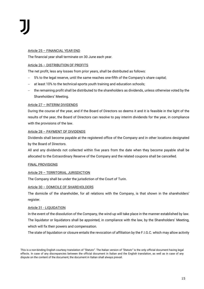## Article 25 – FINANCIAL YEAR END

The financial year shall terminate on 30 June each year.

# Article 26 – DISTRIBUTION OF PROFITS

The net profit, less any losses from prior years, shall be distributed as follows:

- − 5% to the legal reserve, until the same reaches one-fifth of the Company's share capital;
- at least 10% to the technical-sports youth training and education schools;
- the remaining profit shall be distributed to the shareholders as dividends, unless otherwise voted by the Shareholders' Meeting.

# Article 27 – INTERIM DIVIDENDS

During the course of the year, and if the Board of Directors so deems it and it is feasible in the light of the results of the year, the Board of Directors can resolve to pay interim dividends for the year, in compliance with the provisions of the law.

# Article 28 – PAYMENT OF DIVIDENDS

Dividends shall become payable at the registered office of the Company and in other locations designated by the Board of Directors.

All and any dividends not collected within five years from the date when they become payable shall be allocated to the Extraordinary Reserve of the Company and the related coupons shall be cancelled.

# FINAL PROVISIONS

# Article 29 – TERRITORIAL JURISDICTION

The Company shall be under the jurisdiction of the Court of Turin.

#### Article 30 – DOMICILE OF SHAREHOLDERS

The domicile of the shareholder, for all relations with the Company, is that shown in the shareholders' register.

#### Article 31 - LIQUIDATION

In the event of the dissolution of the Company, the wind-up will take place in the manner established by law. The liquidator or liquidators shall be appointed, in compliance with the law, by the Shareholders' Meeting, which will fix their powers and compensation.

The state of liquidation or closure entails the revocation of affiliation by the F.I.G.C. which may allow activity